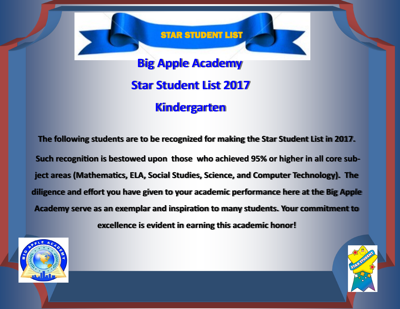

 **Big Apple Academy** 

## **Star Student List 2017**

## **Kindergarten**

**The following students are to be recognized for making the Star Student List in 2017. Such recognition is bestowed upon those who achieved 95% or higher in all core subject areas (Mathematics, ELA, Social Studies, Science, and Computer Technology). The diligence and effort you have given to your academic performance here at the Big Apple Academy serve as an exemplar and inspiration to many students. Your commitment to excellence is evident in earning this academic honor!**